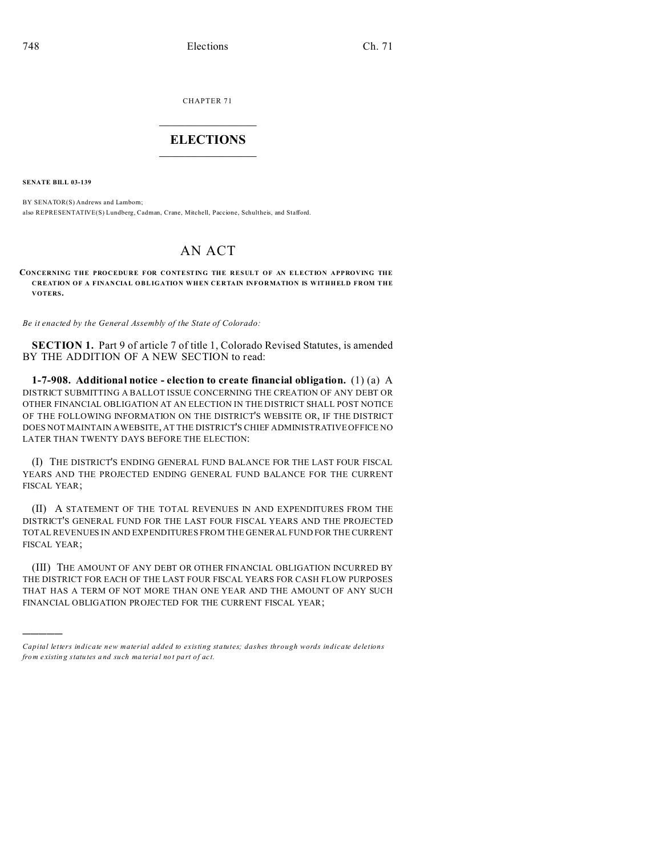CHAPTER 71  $\overline{\phantom{a}}$  , where  $\overline{\phantom{a}}$ 

## **ELECTIONS**  $\_$

**SENATE BILL 03-139**

)))))

BY SENATOR(S) Andrews and Lamborn; also REPRESENTATIVE(S) Lundberg, Cadman, Crane, Mitchell, Paccione, Schultheis, and Stafford.

## AN ACT

**CONCERNING THE PROCEDURE FOR CONTESTING THE RESULT OF AN ELECTION APPROVING THE CREATION OF A FINANCIAL OBLIGATION WHEN CERTAIN INFORMATION IS WITHHELD FROM THE VOTERS.**

*Be it enacted by the General Assembly of the State of Colorado:*

**SECTION 1.** Part 9 of article 7 of title 1, Colorado Revised Statutes, is amended BY THE ADDITION OF A NEW SECTION to read:

**1-7-908. Additional notice - election to create financial obligation.** (1) (a) A DISTRICT SUBMITTING A BALLOT ISSUE CONCERNING THE CREATION OF ANY DEBT OR OTHER FINANCIAL OBLIGATION AT AN ELECTION IN THE DISTRICT SHALL POST NOTICE OF THE FOLLOWING INFORMATION ON THE DISTRICT'S WEBSITE OR, IF THE DISTRICT DOES NOT MAINTAIN A WEBSITE, AT THE DISTRICT'S CHIEF ADMINISTRATIVE OFFICE NO LATER THAN TWENTY DAYS BEFORE THE ELECTION:

(I) THE DISTRICT'S ENDING GENERAL FUND BALANCE FOR THE LAST FOUR FISCAL YEARS AND THE PROJECTED ENDING GENERAL FUND BALANCE FOR THE CURRENT FISCAL YEAR;

(II) A STATEMENT OF THE TOTAL REVENUES IN AND EXPENDITURES FROM THE DISTRICT'S GENERAL FUND FOR THE LAST FOUR FISCAL YEARS AND THE PROJECTED TOTAL REVENUES IN AND EXPENDITURES FROM THE GENERAL FUND FOR THE CURRENT FISCAL YEAR;

(III) THE AMOUNT OF ANY DEBT OR OTHER FINANCIAL OBLIGATION INCURRED BY THE DISTRICT FOR EACH OF THE LAST FOUR FISCAL YEARS FOR CASH FLOW PURPOSES THAT HAS A TERM OF NOT MORE THAN ONE YEAR AND THE AMOUNT OF ANY SUCH FINANCIAL OBLIGATION PROJECTED FOR THE CURRENT FISCAL YEAR;

*Capital letters indicate new material added to existing statutes; dashes through words indicate deletions from e xistin g statu tes a nd such ma teria l no t pa rt of ac t.*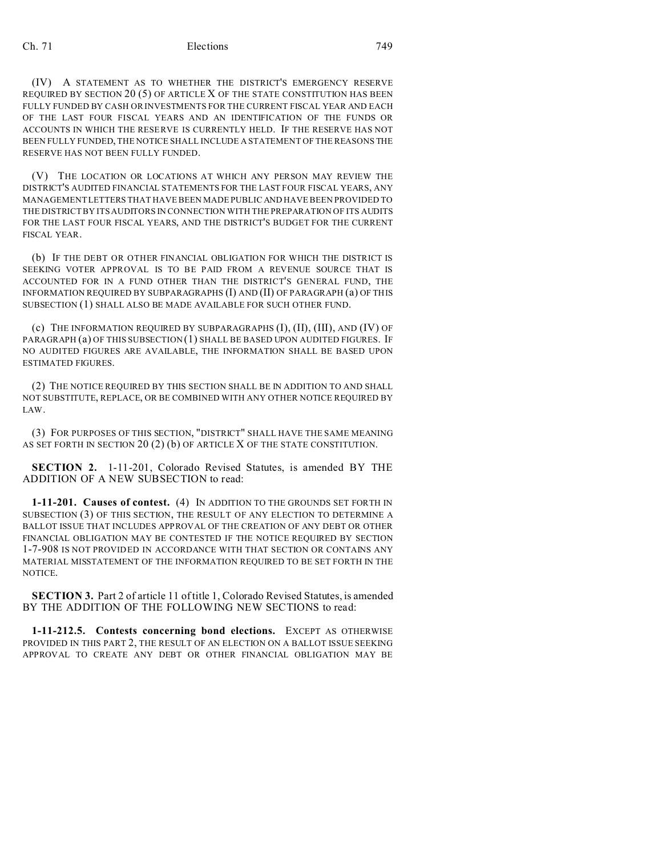## Ch. 71 Elections 749

(IV) A STATEMENT AS TO WHETHER THE DISTRICT'S EMERGENCY RESERVE REQUIRED BY SECTION  $20(5)$  OF ARTICLE X OF THE STATE CONSTITUTION HAS BEEN FULLY FUNDED BY CASH OR INVESTMENTS FOR THE CURRENT FISCAL YEAR AND EACH OF THE LAST FOUR FISCAL YEARS AND AN IDENTIFICATION OF THE FUNDS OR ACCOUNTS IN WHICH THE RESERVE IS CURRENTLY HELD. IF THE RESERVE HAS NOT BEEN FULLY FUNDED, THE NOTICE SHALL INCLUDE A STATEMENT OF THE REASONS THE RESERVE HAS NOT BEEN FULLY FUNDED.

(V) THE LOCATION OR LOCATIONS AT WHICH ANY PERSON MAY REVIEW THE DISTRICT'S AUDITED FINANCIAL STATEMENTS FOR THE LAST FOUR FISCAL YEARS, ANY MANAGEMENT LETTERS THAT HAVE BEEN MADE PUBLIC AND HAVE BEEN PROVIDED TO THE DISTRICT BY ITS AUDITORS IN CONNECTION WITH THE PREPARATION OF ITS AUDITS FOR THE LAST FOUR FISCAL YEARS, AND THE DISTRICT'S BUDGET FOR THE CURRENT FISCAL YEAR.

(b) IF THE DEBT OR OTHER FINANCIAL OBLIGATION FOR WHICH THE DISTRICT IS SEEKING VOTER APPROVAL IS TO BE PAID FROM A REVENUE SOURCE THAT IS ACCOUNTED FOR IN A FUND OTHER THAN THE DISTRICT'S GENERAL FUND, THE INFORMATION REQUIRED BY SUBPARAGRAPHS (I) AND (II) OF PARAGRAPH (a) OF THIS SUBSECTION (1) SHALL ALSO BE MADE AVAILABLE FOR SUCH OTHER FUND.

(c) THE INFORMATION REQUIRED BY SUBPARAGRAPHS (I), (II), (III), AND (IV) OF PARAGRAPH (a) OF THIS SUBSECTION (1) SHALL BE BASED UPON AUDITED FIGURES. IF NO AUDITED FIGURES ARE AVAILABLE, THE INFORMATION SHALL BE BASED UPON ESTIMATED FIGURES.

(2) THE NOTICE REQUIRED BY THIS SECTION SHALL BE IN ADDITION TO AND SHALL NOT SUBSTITUTE, REPLACE, OR BE COMBINED WITH ANY OTHER NOTICE REQUIRED BY LAW.

(3) FOR PURPOSES OF THIS SECTION, "DISTRICT" SHALL HAVE THE SAME MEANING AS SET FORTH IN SECTION 20 (2) (b) OF ARTICLE X OF THE STATE CONSTITUTION.

**SECTION 2.** 1-11-201, Colorado Revised Statutes, is amended BY THE ADDITION OF A NEW SUBSECTION to read:

**1-11-201. Causes of contest.** (4) IN ADDITION TO THE GROUNDS SET FORTH IN SUBSECTION (3) OF THIS SECTION, THE RESULT OF ANY ELECTION TO DETERMINE A BALLOT ISSUE THAT INCLUDES APPROVAL OF THE CREATION OF ANY DEBT OR OTHER FINANCIAL OBLIGATION MAY BE CONTESTED IF THE NOTICE REQUIRED BY SECTION 1-7-908 IS NOT PROVIDED IN ACCORDANCE WITH THAT SECTION OR CONTAINS ANY MATERIAL MISSTATEMENT OF THE INFORMATION REQUIRED TO BE SET FORTH IN THE NOTICE.

**SECTION 3.** Part 2 of article 11 of title 1, Colorado Revised Statutes, is amended BY THE ADDITION OF THE FOLLOWING NEW SECTIONS to read:

**1-11-212.5. Contests concerning bond elections.** EXCEPT AS OTHERWISE PROVIDED IN THIS PART 2, THE RESULT OF AN ELECTION ON A BALLOT ISSUE SEEKING APPROVAL TO CREATE ANY DEBT OR OTHER FINANCIAL OBLIGATION MAY BE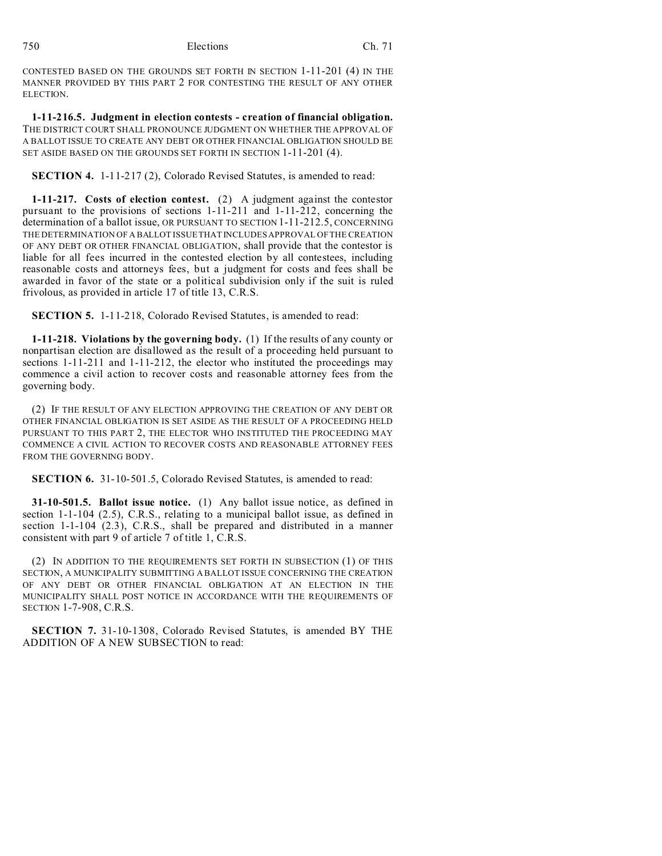CONTESTED BASED ON THE GROUNDS SET FORTH IN SECTION 1-11-201 (4) IN THE MANNER PROVIDED BY THIS PART 2 FOR CONTESTING THE RESULT OF ANY OTHER ELECTION.

**1-11-216.5. Judgment in election contests - creation of financial obligation.** THE DISTRICT COURT SHALL PRONOUNCE JUDGMENT ON WHETHER THE APPROVAL OF A BALLOT ISSUE TO CREATE ANY DEBT OR OTHER FINANCIAL OBLIGATION SHOULD BE SET ASIDE BASED ON THE GROUNDS SET FORTH IN SECTION 1-11-201 (4).

**SECTION 4.** 1-11-217 (2), Colorado Revised Statutes, is amended to read:

**1-11-217. Costs of election contest.** (2) A judgment against the contestor pursuant to the provisions of sections 1-11-211 and 1-11-212, concerning the determination of a ballot issue, OR PURSUANT TO SECTION 1-11-212.5, CONCERNING THE DETERMINATION OF A BALLOT ISSUE THAT INCLUDES APPROVAL OF THE CREATION OF ANY DEBT OR OTHER FINANCIAL OBLIGATION, shall provide that the contestor is liable for all fees incurred in the contested election by all contestees, including reasonable costs and attorneys fees, but a judgment for costs and fees shall be awarded in favor of the state or a political subdivision only if the suit is ruled frivolous, as provided in article 17 of title 13, C.R.S.

**SECTION 5.** 1-11-218, Colorado Revised Statutes, is amended to read:

**1-11-218. Violations by the governing body.** (1) If the results of any county or nonpartisan election are disallowed as the result of a proceeding held pursuant to sections 1-11-211 and 1-11-212, the elector who instituted the proceedings may commence a civil action to recover costs and reasonable attorney fees from the governing body.

(2) IF THE RESULT OF ANY ELECTION APPROVING THE CREATION OF ANY DEBT OR OTHER FINANCIAL OBLIGATION IS SET ASIDE AS THE RESULT OF A PROCEEDING HELD PURSUANT TO THIS PART 2, THE ELECTOR WHO INSTITUTED THE PROCEEDING MAY COMMENCE A CIVIL ACTION TO RECOVER COSTS AND REASONABLE ATTORNEY FEES FROM THE GOVERNING BODY.

**SECTION 6.** 31-10-501.5, Colorado Revised Statutes, is amended to read:

**31-10-501.5. Ballot issue notice.** (1) Any ballot issue notice, as defined in section 1-1-104 (2.5), C.R.S., relating to a municipal ballot issue, as defined in section 1-1-104 (2.3), C.R.S., shall be prepared and distributed in a manner consistent with part 9 of article 7 of title 1, C.R.S.

(2) IN ADDITION TO THE REQUIREMENTS SET FORTH IN SUBSECTION (1) OF THIS SECTION, A MUNICIPALITY SUBMITTING A BALLOT ISSUE CONCERNING THE CREATION OF ANY DEBT OR OTHER FINANCIAL OBLIGATION AT AN ELECTION IN THE MUNICIPALITY SHALL POST NOTICE IN ACCORDANCE WITH THE REQUIREMENTS OF SECTION 1-7-908, C.R.S.

**SECTION 7.** 31-10-1308, Colorado Revised Statutes, is amended BY THE ADDITION OF A NEW SUBSECTION to read: